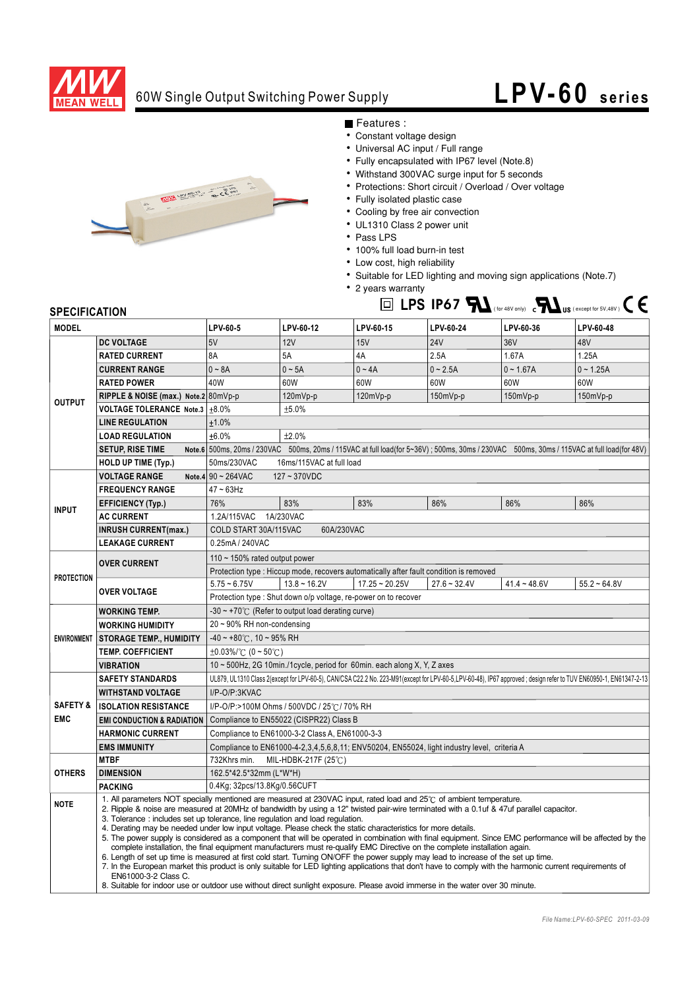

### 60W Single Output Switching Power Supply

# **LPV- 60 series**



Features :

- Constant voltage design
- Universal AC input / Full range
- Fully encapsulated with IP67 level (Note.8)
- Withstand 300VAC surge input for 5 seconds
- Protections: Short circuit / Overload / Over voltage
- Fully isolated plastic case
- Cooling by free air convection
- UL1310 Class 2 power unit
- Pass LPS
- 100% full load burn-in test
- Low cost, high reliability
- Suitable for LED lighting and moving sign applications (Note.7)
- 2 years warranty  $\Box$  LPS IP67  $\blacksquare$  (for 48V only)  $\Box$  US (except for 5V,48V)  $\Box$

### **SPECIFICATION**

| <b>MODEL</b>                      |                                                                                                                                                                                                                                                                                                                                                                                                                                                                                                                                                                                                                                                                                                                                                                                                                                                                                                                                                                                                                                                                                                                                                                                                                          | LPV-60-5                                                                                                                                                         | LPV-60-12      | LPV-60-15        | LPV-60-24      | LPV-60-36      | LPV-60-48      |
|-----------------------------------|--------------------------------------------------------------------------------------------------------------------------------------------------------------------------------------------------------------------------------------------------------------------------------------------------------------------------------------------------------------------------------------------------------------------------------------------------------------------------------------------------------------------------------------------------------------------------------------------------------------------------------------------------------------------------------------------------------------------------------------------------------------------------------------------------------------------------------------------------------------------------------------------------------------------------------------------------------------------------------------------------------------------------------------------------------------------------------------------------------------------------------------------------------------------------------------------------------------------------|------------------------------------------------------------------------------------------------------------------------------------------------------------------|----------------|------------------|----------------|----------------|----------------|
| <b>OUTPUT</b>                     | <b>DC VOLTAGE</b>                                                                                                                                                                                                                                                                                                                                                                                                                                                                                                                                                                                                                                                                                                                                                                                                                                                                                                                                                                                                                                                                                                                                                                                                        | 5V                                                                                                                                                               | 12V            | 15V              | <b>24V</b>     | 36V            | 48V            |
|                                   | <b>RATED CURRENT</b>                                                                                                                                                                                                                                                                                                                                                                                                                                                                                                                                                                                                                                                                                                                                                                                                                                                                                                                                                                                                                                                                                                                                                                                                     | 8A                                                                                                                                                               | 5A             | 4A               | 2.5A           | 1.67A          | 1.25A          |
|                                   | <b>CURRENT RANGE</b>                                                                                                                                                                                                                                                                                                                                                                                                                                                                                                                                                                                                                                                                                                                                                                                                                                                                                                                                                                                                                                                                                                                                                                                                     | $0 - 8A$                                                                                                                                                         | $0 - 5A$       | $0 - 4A$         | $0 - 2.5A$     | $0 - 1.67A$    | $0 - 1.25A$    |
|                                   | <b>RATED POWER</b>                                                                                                                                                                                                                                                                                                                                                                                                                                                                                                                                                                                                                                                                                                                                                                                                                                                                                                                                                                                                                                                                                                                                                                                                       | 40W                                                                                                                                                              | 60W            | 60W              | 60W            | 60W            | 60W            |
|                                   | RIPPLE & NOISE (max.) Note.2 80mVp-p                                                                                                                                                                                                                                                                                                                                                                                                                                                                                                                                                                                                                                                                                                                                                                                                                                                                                                                                                                                                                                                                                                                                                                                     |                                                                                                                                                                  | 120mVp-p       | 120mVp-p         | 150mVp-p       | 150mVp-p       | 150mVp-p       |
|                                   | VOLTAGE TOLERANCE Note.3   ±8.0%                                                                                                                                                                                                                                                                                                                                                                                                                                                                                                                                                                                                                                                                                                                                                                                                                                                                                                                                                                                                                                                                                                                                                                                         |                                                                                                                                                                  | ±5.0%          |                  |                |                |                |
|                                   | <b>LINE REGULATION</b>                                                                                                                                                                                                                                                                                                                                                                                                                                                                                                                                                                                                                                                                                                                                                                                                                                                                                                                                                                                                                                                                                                                                                                                                   | ±1.0%                                                                                                                                                            |                |                  |                |                |                |
|                                   | <b>LOAD REGULATION</b>                                                                                                                                                                                                                                                                                                                                                                                                                                                                                                                                                                                                                                                                                                                                                                                                                                                                                                                                                                                                                                                                                                                                                                                                   | ±6.0%<br>±2.0%                                                                                                                                                   |                |                  |                |                |                |
|                                   | <b>SETUP, RISE TIME</b>                                                                                                                                                                                                                                                                                                                                                                                                                                                                                                                                                                                                                                                                                                                                                                                                                                                                                                                                                                                                                                                                                                                                                                                                  | Note.6 500ms, 20ms / 230VAC 500ms, 20ms / 115VAC at full load(for 5~36V); 500ms, 30ms / 230VAC 500ms, 30ms / 115VAC at full load(for 48V)                        |                |                  |                |                |                |
|                                   | <b>HOLD UP TIME (Typ.)</b>                                                                                                                                                                                                                                                                                                                                                                                                                                                                                                                                                                                                                                                                                                                                                                                                                                                                                                                                                                                                                                                                                                                                                                                               | 50ms/230VAC<br>16ms/115VAC at full load                                                                                                                          |                |                  |                |                |                |
|                                   | <b>VOLTAGE RANGE</b>                                                                                                                                                                                                                                                                                                                                                                                                                                                                                                                                                                                                                                                                                                                                                                                                                                                                                                                                                                                                                                                                                                                                                                                                     | Note.4 $90 \sim 264$ VAC<br>$127 - 370VDC$                                                                                                                       |                |                  |                |                |                |
| <b>INPUT</b>                      | <b>FREQUENCY RANGE</b>                                                                                                                                                                                                                                                                                                                                                                                                                                                                                                                                                                                                                                                                                                                                                                                                                                                                                                                                                                                                                                                                                                                                                                                                   | $47 \sim 63$ Hz                                                                                                                                                  |                |                  |                |                |                |
|                                   | <b>EFFICIENCY (Typ.)</b>                                                                                                                                                                                                                                                                                                                                                                                                                                                                                                                                                                                                                                                                                                                                                                                                                                                                                                                                                                                                                                                                                                                                                                                                 | 76%                                                                                                                                                              | 83%            | 83%              | 86%            | 86%            | 86%            |
|                                   | <b>AC CURRENT</b>                                                                                                                                                                                                                                                                                                                                                                                                                                                                                                                                                                                                                                                                                                                                                                                                                                                                                                                                                                                                                                                                                                                                                                                                        | 1.2A/115VAC<br>1A/230VAC                                                                                                                                         |                |                  |                |                |                |
|                                   | <b>INRUSH CURRENT(max.)</b>                                                                                                                                                                                                                                                                                                                                                                                                                                                                                                                                                                                                                                                                                                                                                                                                                                                                                                                                                                                                                                                                                                                                                                                              | 60A/230VAC<br>COLD START 30A/115VAC                                                                                                                              |                |                  |                |                |                |
|                                   | <b>LEAKAGE CURRENT</b>                                                                                                                                                                                                                                                                                                                                                                                                                                                                                                                                                                                                                                                                                                                                                                                                                                                                                                                                                                                                                                                                                                                                                                                                   | 0.25mA / 240VAC                                                                                                                                                  |                |                  |                |                |                |
| <b>PROTECTION</b>                 | <b>OVER CURRENT</b>                                                                                                                                                                                                                                                                                                                                                                                                                                                                                                                                                                                                                                                                                                                                                                                                                                                                                                                                                                                                                                                                                                                                                                                                      | 110 $\sim$ 150% rated output power                                                                                                                               |                |                  |                |                |                |
|                                   |                                                                                                                                                                                                                                                                                                                                                                                                                                                                                                                                                                                                                                                                                                                                                                                                                                                                                                                                                                                                                                                                                                                                                                                                                          | Protection type : Hiccup mode, recovers automatically after fault condition is removed                                                                           |                |                  |                |                |                |
|                                   | <b>OVER VOLTAGE</b>                                                                                                                                                                                                                                                                                                                                                                                                                                                                                                                                                                                                                                                                                                                                                                                                                                                                                                                                                                                                                                                                                                                                                                                                      | $5.75 - 6.75V$                                                                                                                                                   | $13.8 - 16.2V$ | $17.25 - 20.25V$ | $27.6 - 32.4V$ | $41.4 - 48.6V$ | $55.2 - 64.8V$ |
|                                   |                                                                                                                                                                                                                                                                                                                                                                                                                                                                                                                                                                                                                                                                                                                                                                                                                                                                                                                                                                                                                                                                                                                                                                                                                          | Protection type: Shut down o/p voltage, re-power on to recover                                                                                                   |                |                  |                |                |                |
| <b>ENVIRONMENT</b>                | <b>WORKING TEMP.</b>                                                                                                                                                                                                                                                                                                                                                                                                                                                                                                                                                                                                                                                                                                                                                                                                                                                                                                                                                                                                                                                                                                                                                                                                     | $-30 \sim +70^{\circ}$ (Refer to output load derating curve)                                                                                                     |                |                  |                |                |                |
|                                   | <b>WORKING HUMIDITY</b>                                                                                                                                                                                                                                                                                                                                                                                                                                                                                                                                                                                                                                                                                                                                                                                                                                                                                                                                                                                                                                                                                                                                                                                                  | $20 \sim 90\%$ RH non-condensing                                                                                                                                 |                |                  |                |                |                |
|                                   | <b>STORAGE TEMP., HUMIDITY</b>                                                                                                                                                                                                                                                                                                                                                                                                                                                                                                                                                                                                                                                                                                                                                                                                                                                                                                                                                                                                                                                                                                                                                                                           | $-40 \sim +80^{\circ}$ C, 10 ~ 95% RH                                                                                                                            |                |                  |                |                |                |
|                                   | <b>TEMP. COEFFICIENT</b>                                                                                                                                                                                                                                                                                                                                                                                                                                                                                                                                                                                                                                                                                                                                                                                                                                                                                                                                                                                                                                                                                                                                                                                                 | $\pm 0.03\%$ (0 ~ 50°C)                                                                                                                                          |                |                  |                |                |                |
|                                   | <b>VIBRATION</b>                                                                                                                                                                                                                                                                                                                                                                                                                                                                                                                                                                                                                                                                                                                                                                                                                                                                                                                                                                                                                                                                                                                                                                                                         | 10 ~ 500Hz, 2G 10min./1cycle, period for 60min. each along X, Y, Z axes                                                                                          |                |                  |                |                |                |
| <b>SAFETY &amp;</b><br><b>EMC</b> | <b>SAFETY STANDARDS</b>                                                                                                                                                                                                                                                                                                                                                                                                                                                                                                                                                                                                                                                                                                                                                                                                                                                                                                                                                                                                                                                                                                                                                                                                  | UL879, UL1310 Class 2(except for LPV-60-5), CAN/CSA C22.2 No. 223-M91(except for LPV-60-5,LPV-60-48), IP67 approved; design refer to TUV EN60950-1, EN61347-2-13 |                |                  |                |                |                |
|                                   | <b>WITHSTAND VOLTAGE</b>                                                                                                                                                                                                                                                                                                                                                                                                                                                                                                                                                                                                                                                                                                                                                                                                                                                                                                                                                                                                                                                                                                                                                                                                 | I/P-O/P:3KVAC                                                                                                                                                    |                |                  |                |                |                |
|                                   | <b>ISOLATION RESISTANCE</b>                                                                                                                                                                                                                                                                                                                                                                                                                                                                                                                                                                                                                                                                                                                                                                                                                                                                                                                                                                                                                                                                                                                                                                                              | I/P-O/P:>100M Ohms / 500VDC / 25℃/ 70% RH                                                                                                                        |                |                  |                |                |                |
|                                   | <b>EMI CONDUCTION &amp; RADIATION</b>                                                                                                                                                                                                                                                                                                                                                                                                                                                                                                                                                                                                                                                                                                                                                                                                                                                                                                                                                                                                                                                                                                                                                                                    | Compliance to EN55022 (CISPR22) Class B                                                                                                                          |                |                  |                |                |                |
|                                   | <b>HARMONIC CURRENT</b>                                                                                                                                                                                                                                                                                                                                                                                                                                                                                                                                                                                                                                                                                                                                                                                                                                                                                                                                                                                                                                                                                                                                                                                                  | Compliance to EN61000-3-2 Class A, EN61000-3-3                                                                                                                   |                |                  |                |                |                |
|                                   | <b>EMS IMMUNITY</b>                                                                                                                                                                                                                                                                                                                                                                                                                                                                                                                                                                                                                                                                                                                                                                                                                                                                                                                                                                                                                                                                                                                                                                                                      | Compliance to EN61000-4-2,3,4,5,6,8,11; ENV50204, EN55024, light industry level, criteria A                                                                      |                |                  |                |                |                |
| <b>OTHERS</b>                     | <b>MTBF</b>                                                                                                                                                                                                                                                                                                                                                                                                                                                                                                                                                                                                                                                                                                                                                                                                                                                                                                                                                                                                                                                                                                                                                                                                              | 732Khrs min.<br>MIL-HDBK-217F (25℃)                                                                                                                              |                |                  |                |                |                |
|                                   | <b>DIMENSION</b>                                                                                                                                                                                                                                                                                                                                                                                                                                                                                                                                                                                                                                                                                                                                                                                                                                                                                                                                                                                                                                                                                                                                                                                                         | 162.5*42.5*32mm (L*W*H)                                                                                                                                          |                |                  |                |                |                |
|                                   | <b>PACKING</b>                                                                                                                                                                                                                                                                                                                                                                                                                                                                                                                                                                                                                                                                                                                                                                                                                                                                                                                                                                                                                                                                                                                                                                                                           | 0.4Kg; 32pcs/13.8Kg/0.56CUFT                                                                                                                                     |                |                  |                |                |                |
| <b>NOTE</b>                       | 1. All parameters NOT specially mentioned are measured at 230VAC input, rated load and 25°C of ambient temperature.<br>2. Ripple & noise are measured at 20MHz of bandwidth by using a 12" twisted pair-wire terminated with a 0.1uf & 47uf parallel capacitor.<br>3. Tolerance : includes set up tolerance, line regulation and load regulation.<br>4. Derating may be needed under low input voltage. Please check the static characteristics for more details.<br>5. The power supply is considered as a component that will be operated in combination with final equipment. Since EMC performance will be affected by the<br>complete installation, the final equipment manufacturers must re-qualify EMC Directive on the complete installation again.<br>6. Length of set up time is measured at first cold start. Turning ON/OFF the power supply may lead to increase of the set up time.<br>7. In the European market this product is only suitable for LED lighting applications that don't have to comply with the harmonic current requirements of<br>EN61000-3-2 Class C.<br>8. Suitable for indoor use or outdoor use without direct sunlight exposure. Please avoid immerse in the water over 30 minute. |                                                                                                                                                                  |                |                  |                |                |                |